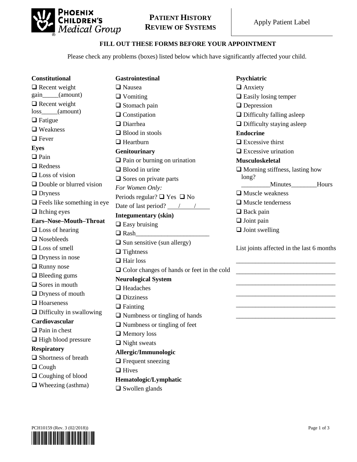

# **PATIENT HISTORY REVIEW OF SYSTEMS** Apply Patient Label

#### **FILL OUT THESE FORMS BEFORE YOUR APPOINTMENT**

Please check any problems (boxes) listed below which have significantly affected your child.

| <b>Constitutional</b>                   | <b>Gastrointestinal</b>                           | Psychiatric                               |
|-----------------------------------------|---------------------------------------------------|-------------------------------------------|
| $\Box$ Recent weight                    | □ Nausea                                          | $\Box$ Anxiety                            |
| gain____(amount)                        | $\Box$ Vomiting                                   | $\Box$ Easily losing temper               |
| $\Box$ Recent weight<br>$loss$ (amount) | $\Box$ Stomach pain                               | $\Box$ Depression                         |
|                                         | $\Box$ Constipation                               | $\Box$ Difficulty falling asleep          |
| $\Box$ Fatigue                          | $\Box$ Diarrhea                                   | $\Box$ Difficulty staying asleep          |
| $\Box$ Weakness                         | $\Box$ Blood in stools                            | <b>Endocrine</b>                          |
| $\Box$ Fever                            | $\Box$ Heartburn                                  | $\Box$ Excessive thirst                   |
| <b>Eyes</b>                             | Genitourinary                                     | $\Box$ Excessive urination                |
| $\Box$ Pain                             | $\Box$ Pain or burning on urination               | <b>Musculoskeletal</b>                    |
| $\Box$ Redness                          | $\Box$ Blood in urine                             | $\Box$ Morning stiffness, lasting how     |
| $\Box$ Loss of vision                   | $\Box$ Sores on private parts                     | long?                                     |
| $\Box$ Double or blurred vision         | For Women Only:                                   | Minutes Hours                             |
| $\Box$ Dryness                          | Periods regular? $\Box$ Yes $\Box$ No             | $\Box$ Muscle weakness                    |
| $\Box$ Feels like something in eye      | Date of last period? $\frac{\ }{\ }$ /            | $\Box$ Muscle tenderness                  |
| $\Box$ Itching eyes                     | <b>Integumentary (skin)</b>                       | $\Box$ Back pain                          |
| Ears-Nose-Mouth-Throat                  | $\Box$ Easy bruising                              | $\Box$ Joint pain                         |
| $\Box$ Loss of hearing                  | $\Box$ Rash                                       | $\Box$ Joint swelling                     |
| $\Box$ Nosebleeds                       | $\Box$ Sun sensitive (sun allergy)                |                                           |
| $\Box$ Loss of smell                    | $\Box$ Tightness                                  | List joints affected in the last 6 months |
| $\Box$ Dryness in nose                  | $\Box$ Hair loss                                  |                                           |
| $\Box$ Runny nose                       |                                                   |                                           |
| $\Box$ Bleeding gums                    | $\Box$ Color changes of hands or feet in the cold |                                           |
| $\Box$ Sores in mouth                   | <b>Neurological System</b>                        |                                           |
| $\Box$ Dryness of mouth                 | $\Box$ Headaches                                  |                                           |
| $\Box$ Hoarseness                       | $\Box$ Dizziness                                  |                                           |
| $\Box$ Difficulty in swallowing         | $\Box$ Fainting                                   |                                           |
| Cardiovascular                          | $\Box$ Numbness or tingling of hands              |                                           |
| $\Box$ Pain in chest                    | $\Box$ Numbness or tingling of feet               |                                           |
| $\Box$ High blood pressure              | $\Box$ Memory loss                                |                                           |
| <b>Respiratory</b>                      | $\Box$ Night sweats                               |                                           |
| $\Box$ Shortness of breath              | Allergic/Immunologic                              |                                           |
|                                         | $\Box$ Frequent sneezing                          |                                           |
| $\Box$ Cough                            | $\Box$ Hives                                      |                                           |
| $\Box$ Coughing of blood                | Hematologic/Lymphatic                             |                                           |
| $\Box$ Wheezing (asthma)                | $\Box$ Swollen glands                             |                                           |

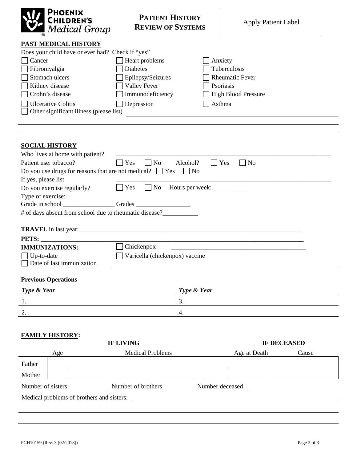| PHOENIX<br><b>Medical Group</b> |
|---------------------------------|
|                                 |

## **PATIENT HISTORY REVIEW OF SYSTEMS** Apply Patient Label

## **PAST MEDICAL HISTORY**

| PAST MEDICAL HISTORY                                                    |                                   |                                                                                                                       |  |
|-------------------------------------------------------------------------|-----------------------------------|-----------------------------------------------------------------------------------------------------------------------|--|
| Does your child have or ever had? Check if "yes"                        |                                   |                                                                                                                       |  |
| Cancer                                                                  | Heart problems                    | Anxiety                                                                                                               |  |
| Fibromyalgia                                                            | <b>Diabetes</b>                   | Tuberculosis                                                                                                          |  |
| Stomach ulcers                                                          | Epilepsy/Seizures                 | <b>Rheumatic Fever</b>                                                                                                |  |
| Kidney disease                                                          | <b>Valley Fever</b>               | Psoriasis                                                                                                             |  |
| Crohn's disease                                                         | Immunodeficiency                  | <b>High Blood Pressure</b>                                                                                            |  |
| <b>Ulcerative Colitis</b>                                               | Depression                        | Asthma                                                                                                                |  |
| Other significant illness (please list)                                 |                                   |                                                                                                                       |  |
|                                                                         |                                   |                                                                                                                       |  |
|                                                                         |                                   |                                                                                                                       |  |
|                                                                         |                                   |                                                                                                                       |  |
| <b>SOCIAL HISTORY</b>                                                   |                                   |                                                                                                                       |  |
| Who lives at home with patient?                                         |                                   |                                                                                                                       |  |
| Patient use: tobacco?                                                   | П<br>$\Box$ No<br>Alcohol?<br>Yes | Yes<br>$\Box$ No                                                                                                      |  |
| Do you use drugs for reasons that are not medical? $\Box$ Yes $\Box$ No |                                   |                                                                                                                       |  |
| If yes, please list                                                     |                                   |                                                                                                                       |  |
| Do you exercise regularly?                                              | $\Box$ Yes                        | $\Box$ No Hours per week: $\Box$                                                                                      |  |
| Type of exercise:                                                       |                                   |                                                                                                                       |  |
|                                                                         |                                   |                                                                                                                       |  |
| # of days absent from school due to rheumatic disease?                  |                                   |                                                                                                                       |  |
|                                                                         |                                   |                                                                                                                       |  |
|                                                                         |                                   |                                                                                                                       |  |
| PETS:                                                                   |                                   | <u> 1989 - Johann Stoff, deutscher Stoff, der Stoff, der Stoff, der Stoff, der Stoff, der Stoff, der Stoff, der S</u> |  |
| <b>IMMUNIZATIONS:</b>                                                   | Chickenpox                        |                                                                                                                       |  |
| Up-to-date                                                              | Varicella (chickenpox) vaccine    |                                                                                                                       |  |
| Date of last immunization                                               |                                   |                                                                                                                       |  |
|                                                                         |                                   |                                                                                                                       |  |
| <b>Previous Operations</b>                                              |                                   |                                                                                                                       |  |
| Type & Year                                                             | Type & Year                       |                                                                                                                       |  |

| <b>Type &amp; Year</b> | Type & Year |
|------------------------|-------------|
| . .                    | <u>.</u>    |
| $\sim$<br><u>.</u>     |             |

### **FAMILY HISTORY:**

| <b>IF LIVING</b> |                         | <b>IF DECEASED</b>                        |                 |
|------------------|-------------------------|-------------------------------------------|-----------------|
| Age              | <b>Medical Problems</b> | Age at Death                              | Cause           |
|                  |                         |                                           |                 |
|                  |                         |                                           |                 |
|                  | Number of brothers      |                                           |                 |
|                  |                         |                                           |                 |
|                  | Number of sisters       | Medical problems of brothers and sisters: | Number deceased |